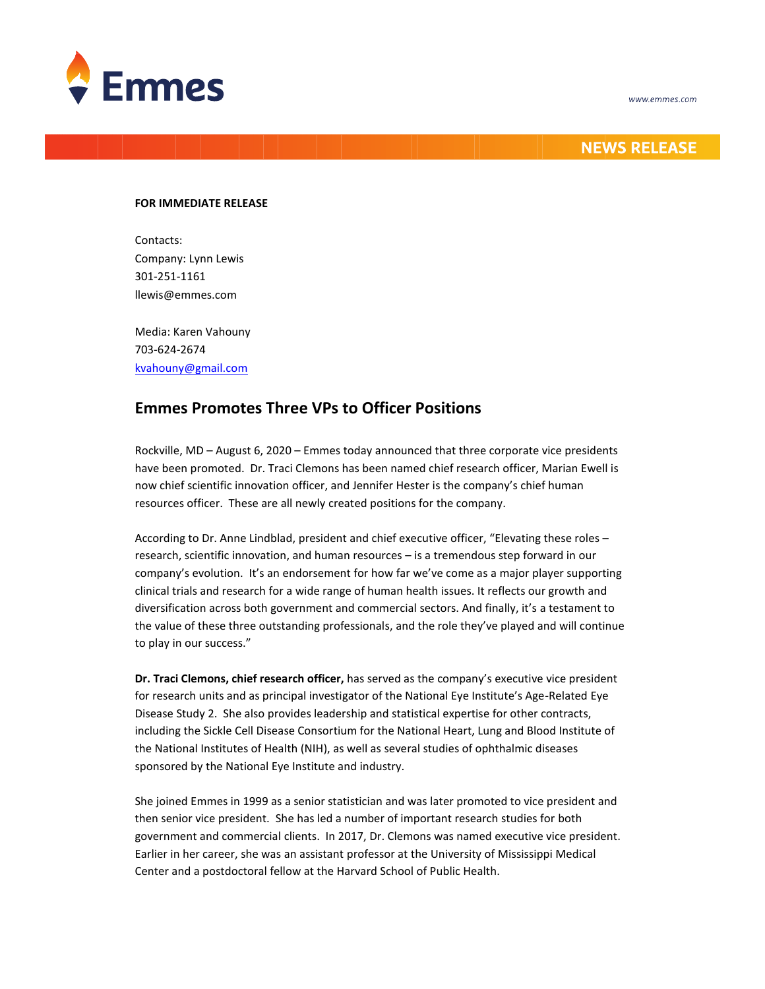

## **NEWS RELEASE**

## **FOR IMMEDIATE RELEASE**

Contacts: Company: Lynn Lewis 301-251-1161 llewis@emmes.com

Media: Karen Vahouny 703-624-2674 [kvahouny@gmail.com](mailto:kvahouny@gmail.com)

## **Emmes Promotes Three VPs to Officer Positions**

Rockville, MD – August 6, 2020 – Emmes today announced that three corporate vice presidents have been promoted. Dr. Traci Clemons has been named chief research officer, Marian Ewell is now chief scientific innovation officer, and Jennifer Hester is the company's chief human resources officer. These are all newly created positions for the company.

According to Dr. Anne Lindblad, president and chief executive officer, "Elevating these roles – research, scientific innovation, and human resources – is a tremendous step forward in our company's evolution. It's an endorsement for how far we've come as a major player supporting clinical trials and research for a wide range of human health issues. It reflects our growth and diversification across both government and commercial sectors. And finally, it's a testament to the value of these three outstanding professionals, and the role they've played and will continue to play in our success."

**Dr. Traci Clemons, chief research officer,** has served as the company's executive vice president for research units and as principal investigator of the National Eye Institute's Age-Related Eye Disease Study 2. She also provides leadership and statistical expertise for other contracts, including the Sickle Cell Disease Consortium for the National Heart, Lung and Blood Institute of the National Institutes of Health (NIH), as well as several studies of ophthalmic diseases sponsored by the National Eye Institute and industry.

She joined Emmes in 1999 as a senior statistician and was later promoted to vice president and then senior vice president. She has led a number of important research studies for both government and commercial clients. In 2017, Dr. Clemons was named executive vice president. Earlier in her career, she was an assistant professor at the University of Mississippi Medical Center and a postdoctoral fellow at the Harvard School of Public Health.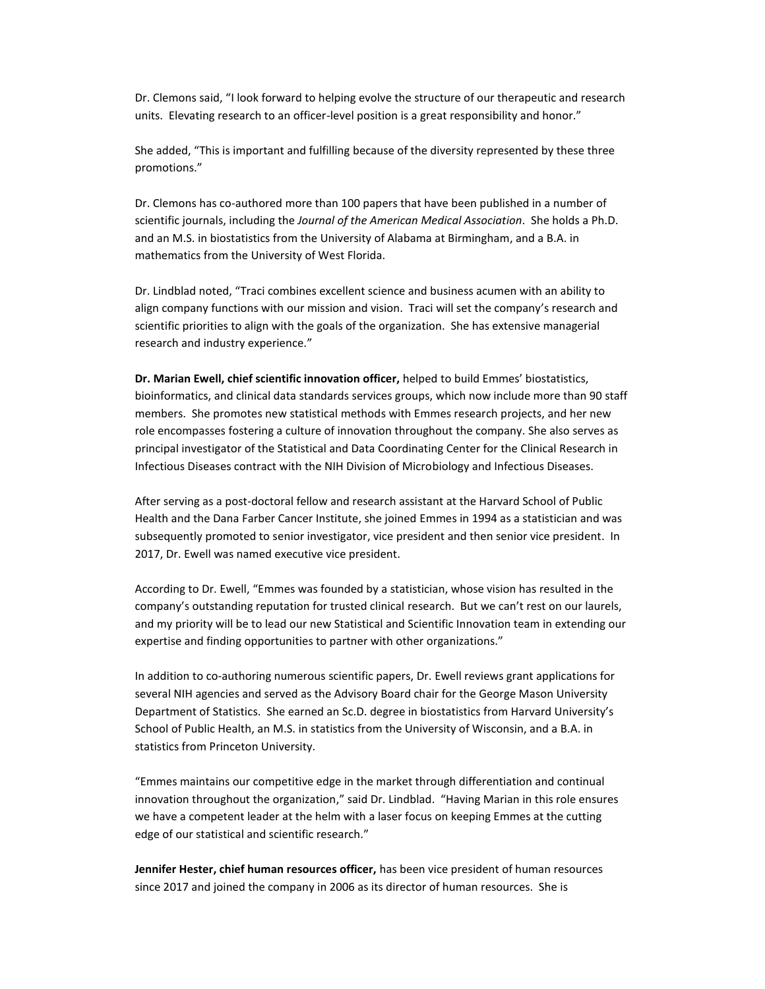Dr. Clemons said, "I look forward to helping evolve the structure of our therapeutic and research units. Elevating research to an officer-level position is a great responsibility and honor."

She added, "This is important and fulfilling because of the diversity represented by these three promotions."

Dr. Clemons has co-authored more than 100 papers that have been published in a number of scientific journals, including the *Journal of the American Medical Association*. She holds a Ph.D. and an M.S. in biostatistics from the University of Alabama at Birmingham, and a B.A. in mathematics from the University of West Florida.

Dr. Lindblad noted, "Traci combines excellent science and business acumen with an ability to align company functions with our mission and vision. Traci will set the company's research and scientific priorities to align with the goals of the organization. She has extensive managerial research and industry experience."

**Dr. Marian Ewell, chief scientific innovation officer,** helped to build Emmes' biostatistics, bioinformatics, and clinical data standards services groups, which now include more than 90 staff members. She promotes new statistical methods with Emmes research projects, and her new role encompasses fostering a culture of innovation throughout the company. She also serves as principal investigator of the Statistical and Data Coordinating Center for the Clinical Research in Infectious Diseases contract with the NIH Division of Microbiology and Infectious Diseases.

After serving as a post-doctoral fellow and research assistant at the Harvard School of Public Health and the Dana Farber Cancer Institute, she joined Emmes in 1994 as a statistician and was subsequently promoted to senior investigator, vice president and then senior vice president. In 2017, Dr. Ewell was named executive vice president.

According to Dr. Ewell, "Emmes was founded by a statistician, whose vision has resulted in the company's outstanding reputation for trusted clinical research. But we can't rest on our laurels, and my priority will be to lead our new Statistical and Scientific Innovation team in extending our expertise and finding opportunities to partner with other organizations."

In addition to co-authoring numerous scientific papers, Dr. Ewell reviews grant applications for several NIH agencies and served as the Advisory Board chair for the George Mason University Department of Statistics. She earned an Sc.D. degree in biostatistics from Harvard University's School of Public Health, an M.S. in statistics from the University of Wisconsin, and a B.A. in statistics from Princeton University.

"Emmes maintains our competitive edge in the market through differentiation and continual innovation throughout the organization," said Dr. Lindblad. "Having Marian in this role ensures we have a competent leader at the helm with a laser focus on keeping Emmes at the cutting edge of our statistical and scientific research."

**Jennifer Hester, chief human resources officer,** has been vice president of human resources since 2017 and joined the company in 2006 as its director of human resources. She is